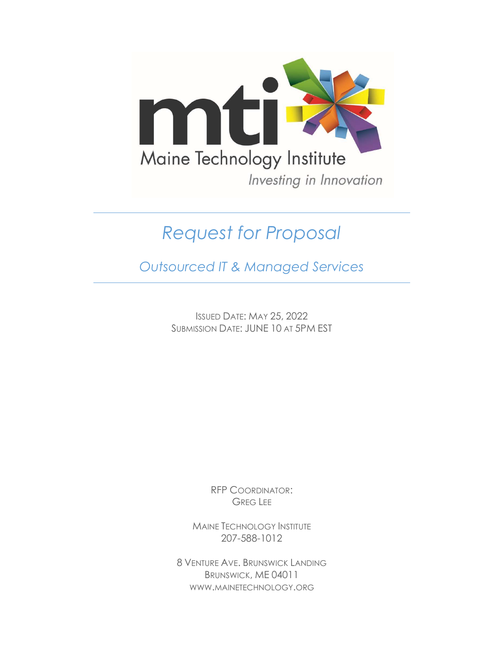

# Request for Proposal

Outsourced IT & Managed Services

ISSUED DATE: MAY 25, 2022 SUBMISSION DATE: JUNE 10 AT 5PM EST

> RFP COORDINATOR: GREG LEE

MAINE TECHNOLOGY INSTITUTE 207-588-1012

8 VENTURE AVE. BRUNSWICK LANDING BRUNSWICK, ME 04011 WWW.MAINETECHNOLOGY.ORG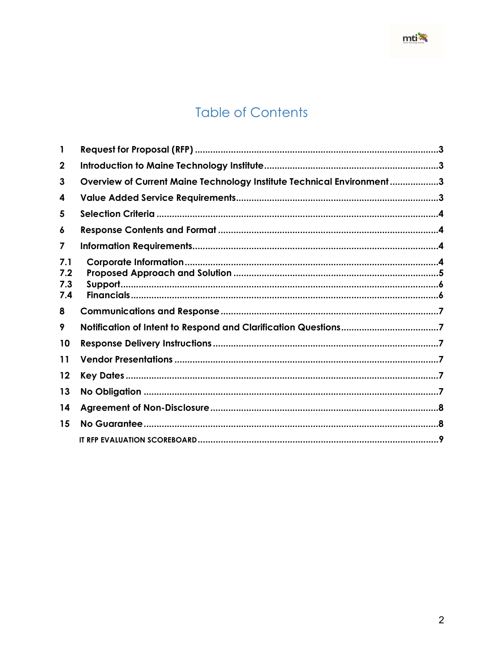# **Table of Contents**

| 2                        |                                                                       |  |
|--------------------------|-----------------------------------------------------------------------|--|
| 3                        | Overview of Current Maine Technology Institute Technical Environment3 |  |
| 4                        |                                                                       |  |
| 5                        |                                                                       |  |
| 6                        |                                                                       |  |
| 7                        |                                                                       |  |
| 7.1<br>7.2<br>7.3<br>7.4 |                                                                       |  |
| 8                        |                                                                       |  |
| 9                        |                                                                       |  |
| 10                       |                                                                       |  |
| 11                       |                                                                       |  |
| 12                       |                                                                       |  |
| 13                       |                                                                       |  |
| 14                       |                                                                       |  |
| 15                       |                                                                       |  |
|                          |                                                                       |  |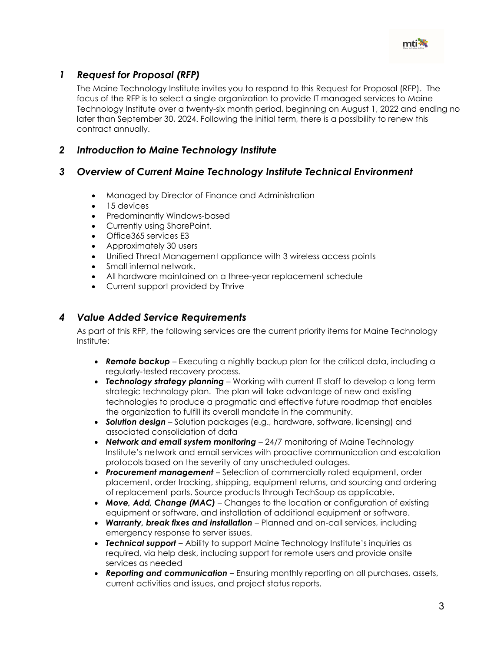

# 1 Request for Proposal (RFP)

The Maine Technology Institute invites you to respond to this Request for Proposal (RFP). The focus of the RFP is to select a single organization to provide IT managed services to Maine Technology Institute over a twenty-six month period, beginning on August 1, 2022 and ending no later than September 30, 2024. Following the initial term, there is a possibility to renew this contract annually.

# 2 Introduction to Maine Technology Institute

# 3 Overview of Current Maine Technology Institute Technical Environment

- Managed by Director of Finance and Administration
- 15 devices
- Predominantly Windows-based
- Currently using SharePoint.
- Office365 services E3
- Approximately 30 users
- Unified Threat Management appliance with 3 wireless access points
- Small internal network.
- All hardware maintained on a three-year replacement schedule
- Current support provided by Thrive

# 4 Value Added Service Requirements

As part of this RFP, the following services are the current priority items for Maine Technology Institute:

- Remote backup Executing a nightly backup plan for the critical data, including a regularly-tested recovery process.
- Technology strategy planning Working with current IT staff to develop a long term strategic technology plan. The plan will take advantage of new and existing technologies to produce a pragmatic and effective future roadmap that enables the organization to fulfill its overall mandate in the community.
- Solution design Solution packages (e.g., hardware, software, licensing) and associated consolidation of data
- Network and email system monitoring  $-24/7$  monitoring of Maine Technology Institute's network and email services with proactive communication and escalation protocols based on the severity of any unscheduled outages.
- Procurement management Selection of commercially rated equipment, order placement, order tracking, shipping, equipment returns, and sourcing and ordering of replacement parts. Source products through TechSoup as applicable.
- Move, Add, Change (MAC) Changes to the location or configuration of existing equipment or software, and installation of additional equipment or software.
- Warranty, break fixes and installation Planned and on-call services, including emergency response to server issues.
- Technical support Ability to support Maine Technology Institute's inquiries as required, via help desk, including support for remote users and provide onsite services as needed
- Reporting and communication Ensuring monthly reporting on all purchases, assets, current activities and issues, and project status reports.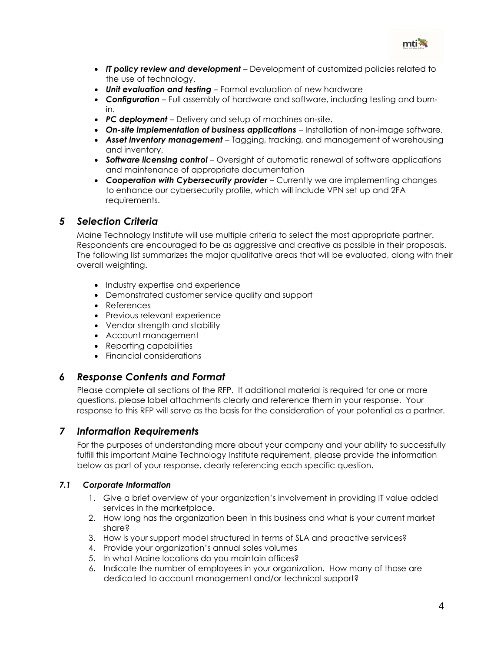

- IT policy review and development Development of customized policies related to the use of technology.
- Unit evaluation and testing Formal evaluation of new hardware
- Configuration Full assembly of hardware and software, including testing and burnin.
- PC deployment Delivery and setup of machines on-site.
- **On-site implementation of business applications** Installation of non-image software.
- Asset inventory management Tagging, tracking, and management of warehousing and inventory.
- Software licensing control Oversight of automatic renewal of software applications and maintenance of appropriate documentation
- Cooperation with Cybersecurity provider Currently we are implementing changes to enhance our cybersecurity profile, which will include VPN set up and 2FA requirements.

# 5 Selection Criteria

Maine Technology Institute will use multiple criteria to select the most appropriate partner. Respondents are encouraged to be as aggressive and creative as possible in their proposals. The following list summarizes the major qualitative areas that will be evaluated, along with their overall weighting.

- Industry expertise and experience
- Demonstrated customer service quality and support
- References
- Previous relevant experience
- Vendor strength and stability
- Account management
- Reporting capabilities
- Financial considerations

# 6 Response Contents and Format

Please complete all sections of the RFP. If additional material is required for one or more questions, please label attachments clearly and reference them in your response. Your response to this RFP will serve as the basis for the consideration of your potential as a partner.

# 7 Information Requirements

For the purposes of understanding more about your company and your ability to successfully fulfill this important Maine Technology Institute requirement, please provide the information below as part of your response, clearly referencing each specific question.

#### 7.1 Corporate Information

- 1. Give a brief overview of your organization's involvement in providing IT value added services in the marketplace.
- 2. How long has the organization been in this business and what is your current market share?
- 3. How is your support model structured in terms of SLA and proactive services?
- 4. Provide your organization's annual sales volumes
- 5. In what Maine locations do you maintain offices?
- 6. Indicate the number of employees in your organization. How many of those are dedicated to account management and/or technical support?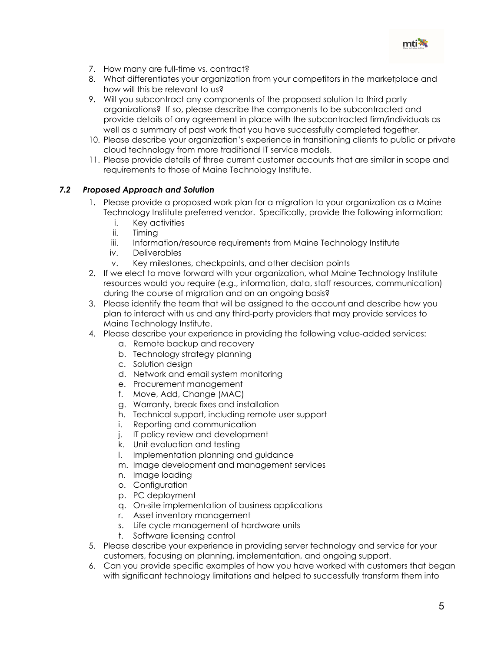

- 7. How many are full-time vs. contract?
- 8. What differentiates your organization from your competitors in the marketplace and how will this be relevant to us?
- 9. Will you subcontract any components of the proposed solution to third party organizations? If so, please describe the components to be subcontracted and provide details of any agreement in place with the subcontracted firm/individuals as well as a summary of past work that you have successfully completed together.
- 10. Please describe your organization's experience in transitioning clients to public or private cloud technology from more traditional IT service models.
- 11. Please provide details of three current customer accounts that are similar in scope and requirements to those of Maine Technology Institute.

#### 7.2 Proposed Approach and Solution

- 1. Please provide a proposed work plan for a migration to your organization as a Maine Technology Institute preferred vendor. Specifically, provide the following information:
	- i. Key activities
	- ii. Timing
	- iii. Information/resource requirements from Maine Technology Institute
	- iv. Deliverables
	- v. Key milestones, checkpoints, and other decision points
- 2. If we elect to move forward with your organization, what Maine Technology Institute resources would you require (e.g., information, data, staff resources, communication) during the course of migration and on an ongoing basis?
- 3. Please identify the team that will be assigned to the account and describe how you plan to interact with us and any third-party providers that may provide services to Maine Technology Institute.
- 4. Please describe your experience in providing the following value-added services:
	- a. Remote backup and recovery
	- b. Technology strategy planning
	- c. Solution design
	- d. Network and email system monitoring
	- e. Procurement management
	- f. Move, Add, Change (MAC)
	- g. Warranty, break fixes and installation
	- h. Technical support, including remote user support
	- i. Reporting and communication
	- j. IT policy review and development
	- k. Unit evaluation and testing
	- l. Implementation planning and guidance
	- m. Image development and management services
	- n. Image loading
	- o. Configuration
	- p. PC deployment
	- q. On-site implementation of business applications
	- r. Asset inventory management
	- s. Life cycle management of hardware units
	- t. Software licensing control
- 5. Please describe your experience in providing server technology and service for your customers, focusing on planning, implementation, and ongoing support.
- 6. Can you provide specific examples of how you have worked with customers that began with significant technology limitations and helped to successfully transform them into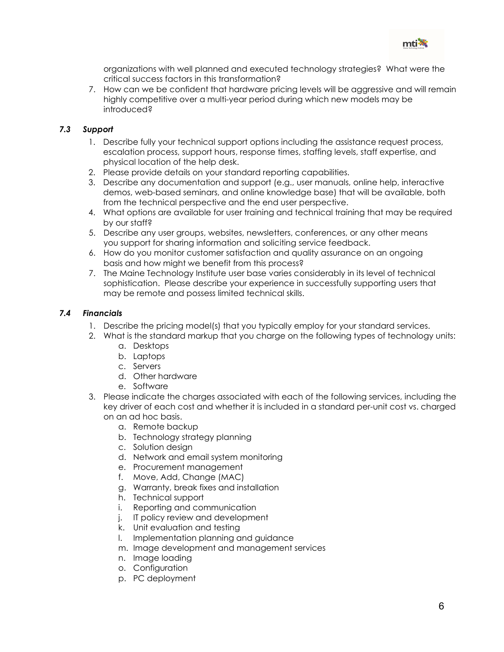

organizations with well planned and executed technology strategies? What were the critical success factors in this transformation?

7. How can we be confident that hardware pricing levels will be aggressive and will remain highly competitive over a multi-year period during which new models may be introduced?

#### 7.3 Support

- 1. Describe fully your technical support options including the assistance request process, escalation process, support hours, response times, staffing levels, staff expertise, and physical location of the help desk.
- 2. Please provide details on your standard reporting capabilities.
- 3. Describe any documentation and support (e.g., user manuals, online help, interactive demos, web-based seminars, and online knowledge base) that will be available, both from the technical perspective and the end user perspective.
- 4. What options are available for user training and technical training that may be required by our staff?
- 5. Describe any user groups, websites, newsletters, conferences, or any other means you support for sharing information and soliciting service feedback.
- 6. How do you monitor customer satisfaction and quality assurance on an ongoing basis and how might we benefit from this process?
- 7. The Maine Technology Institute user base varies considerably in its level of technical sophistication. Please describe your experience in successfully supporting users that may be remote and possess limited technical skills.

#### 7.4 Financials

- 1. Describe the pricing model(s) that you typically employ for your standard services.
- 2. What is the standard markup that you charge on the following types of technology units:
	- a. Desktops
	- b. Laptops
	- c. Servers
	- d. Other hardware
	- e. Software
- 3. Please indicate the charges associated with each of the following services, including the key driver of each cost and whether it is included in a standard per-unit cost vs. charged on an ad hoc basis.
	- a. Remote backup
	- b. Technology strategy planning
	- c. Solution design
	- d. Network and email system monitoring
	- e. Procurement management
	- f. Move, Add, Change (MAC)
	- g. Warranty, break fixes and installation
	- h. Technical support
	- i. Reporting and communication
	- j. IT policy review and development
	- k. Unit evaluation and testing
	- l. Implementation planning and guidance
	- m. Image development and management services
	- n. Image loading
	- o. Configuration
	- p. PC deployment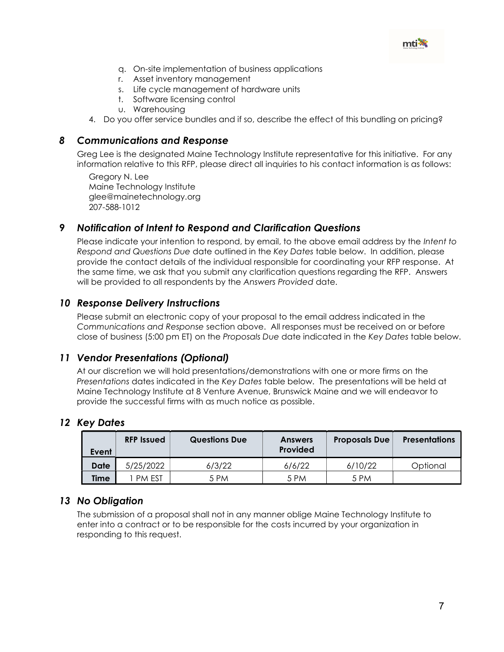

- q. On-site implementation of business applications
- r. Asset inventory management
- s. Life cycle management of hardware units
- t. Software licensing control
- u. Warehousing
- 4. Do you offer service bundles and if so, describe the effect of this bundling on pricing?

#### 8 Communications and Response

Greg Lee is the designated Maine Technology Institute representative for this initiative. For any information relative to this RFP, please direct all inquiries to his contact information is as follows:

Gregory N. Lee Maine Technology Institute glee@mainetechnology.org 207-588-1012

# 9 Notification of Intent to Respond and Clarification Questions

Please indicate your intention to respond, by email, to the above email address by the Intent to Respond and Questions Due date outlined in the Key Dates table below. In addition, please provide the contact details of the individual responsible for coordinating your RFP response. At the same time, we ask that you submit any clarification questions regarding the RFP. Answers will be provided to all respondents by the Answers Provided date.

# 10 Response Delivery Instructions

Please submit an electronic copy of your proposal to the email address indicated in the Communications and Response section above. All responses must be received on or before close of business (5:00 pm ET) on the Proposals Due date indicated in the Key Dates table below.

# 11 Vendor Presentations (Optional)

At our discretion we will hold presentations/demonstrations with one or more firms on the Presentations dates indicated in the Key Dates table below. The presentations will be held at Maine Technology Institute at 8 Venture Avenue, Brunswick Maine and we will endeavor to provide the successful firms with as much notice as possible.

# 12 Key Dates

| Event | <b>RFP Issued</b> | <b>Questions Due</b> | <b>Answers</b><br><b>Provided</b> | <b>Proposals Due</b> | <b>Presentations</b> |
|-------|-------------------|----------------------|-----------------------------------|----------------------|----------------------|
| Date  | 5/25/2022         | 6/3/22               | 6/6/22                            | 6/10/22              | Optional             |
| Time  | <b>PM EST</b>     | 5 PM                 | 5 PM                              | 5 PM                 |                      |

# 13 No Obligation

The submission of a proposal shall not in any manner oblige Maine Technology Institute to enter into a contract or to be responsible for the costs incurred by your organization in responding to this request.